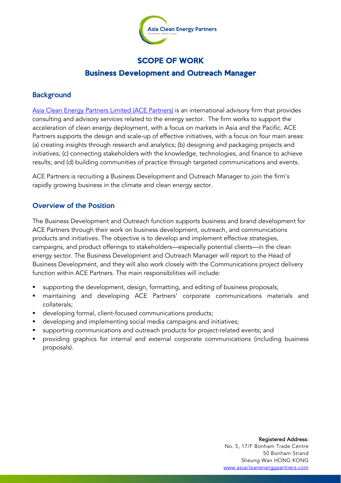

# SCOPE OF WORK

# Business Development and Outreach Manager

## **Background**

Asia Clean Energy Partners Limited (ACE Partners) is an international advisory firm that provides consulting and advisory services related to the energy sector. The firm works to support the acceleration of clean energy deployment, with a focus on markets in Asia and the Pacific. ACE Partners supports the design and scale-up of effective initiatives, with a focus on four main areas: (a) creating insights through research and analytics; (b) designing and packaging projects and initiatives; (c) connecting stakeholders with the knowledge, technologies, and finance to achieve results; and (d) building communities of practice through targeted communications and events.

ACE Partners is recruiting a Business Development and Outreach Manager to join the firm's rapidly growing business in the climate and clean energy sector.

### Overview of the Position

The Business Development and Outreach function supports business and brand development for ACE Partners through their work on business development, outreach, and communications products and initiatives. The objective is to develop and implement effective strategies, campaigns, and product offerings to stakeholders—especially potential clients—in the clean energy sector. The Business Development and Outreach Manager will report to the Head of Business Development, and they will also work closely with the Communications project delivery function within ACE Partners. The main responsibilities will include:

- supporting the development, design, formatting, and editing of business proposals;
- § maintaining and developing ACE Partners' corporate communications materials and collaterals;
- **•** developing formal, client-focused communications products;
- developing and implementing social media campaigns and initiatives;
- supporting communications and outreach products for project-related events; and
- § providing graphics for internal and external corporate communications (including business proposals).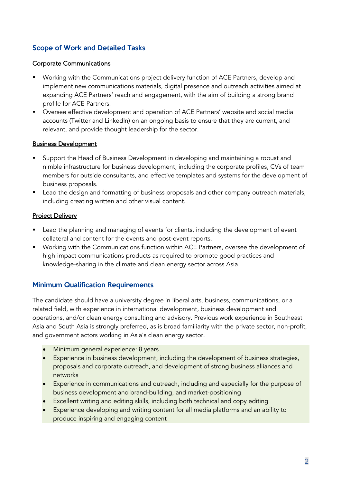# Scope of Work and Detailed Tasks

#### Corporate Communications

- § Working with the Communications project delivery function of ACE Partners, develop and implement new communications materials, digital presence and outreach activities aimed at expanding ACE Partners' reach and engagement, with the aim of building a strong brand profile for ACE Partners.
- Oversee effective development and operation of ACE Partners' website and social media accounts (Twitter and LinkedIn) on an ongoing basis to ensure that they are current, and relevant, and provide thought leadership for the sector.

#### Business Development

- Support the Head of Business Development in developing and maintaining a robust and nimble infrastructure for business development, including the corporate profiles, CVs of team members for outside consultants, and effective templates and systems for the development of business proposals.
- Lead the design and formatting of business proposals and other company outreach materials, including creating written and other visual content.

## **Project Delivery**

- Lead the planning and managing of events for clients, including the development of event collateral and content for the events and post-event reports.
- Working with the Communications function within ACE Partners, oversee the development of high-impact communications products as required to promote good practices and knowledge-sharing in the climate and clean energy sector across Asia.

## Minimum Qualification Requirements

The candidate should have a university degree in liberal arts, business, communications, or a related field, with experience in international development, business development and operations, and/or clean energy consulting and advisory. Previous work experience in Southeast Asia and South Asia is strongly preferred, as is broad familiarity with the private sector, non-profit, and government actors working in Asia's clean energy sector.

- Minimum general experience: 8 years
- Experience in business development, including the development of business strategies, proposals and corporate outreach, and development of strong business alliances and networks
- Experience in communications and outreach, including and especially for the purpose of business development and brand-building, and market-positioning
- Excellent writing and editing skills, including both technical and copy editing
- Experience developing and writing content for all media platforms and an ability to produce inspiring and engaging content